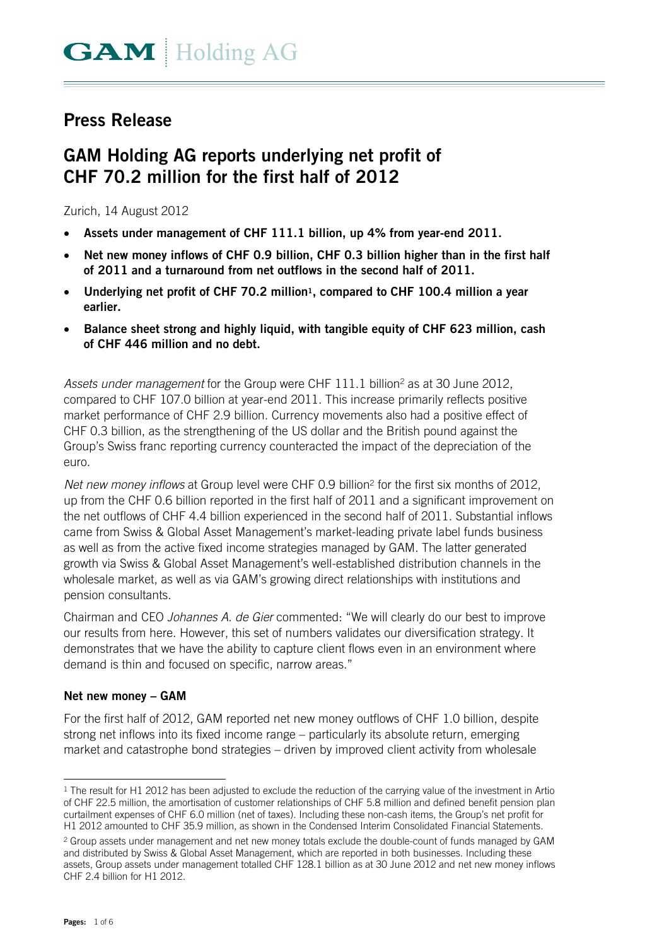# **Press Release**

# **GAM Holding AG reports underlying net profit of CHF 70.2 million for the first half of 2012**

Zurich, 14 August 2012

- **Assets under management of CHF 111.1 billion, up 4% from year-end 2011.**
- **Net new money inflows of CHF 0.9 billion, CHF 0.3 billion higher than in the first half of 2011 and a turnaround from net outflows in the second half of 2011.**
- **Underlying net profit of CHF 70.2 million1, compared to CHF 100.4 million a year earlier.**
- **Balance sheet strong and highly liquid, with tangible equity of CHF 623 million, cash of CHF 446 million and no debt.**

Assets under management for the Group were CHF 111.1 billion<sup>2</sup> as at 30 June 2012, compared to CHF 107.0 billion at year-end 2011. This increase primarily reflects positive market performance of CHF 2.9 billion. Currency movements also had a positive effect of CHF 0.3 billion, as the strengthening of the US dollar and the British pound against the Group's Swiss franc reporting currency counteracted the impact of the depreciation of the euro.

*Net new money inflows* at Group level were CHF 0.9 billion<sup>2</sup> for the first six months of 2012, up from the CHF 0.6 billion reported in the first half of 2011 and a significant improvement on the net outflows of CHF 4.4 billion experienced in the second half of 2011. Substantial inflows came from Swiss & Global Asset Management's market-leading private label funds business as well as from the active fixed income strategies managed by GAM. The latter generated growth via Swiss & Global Asset Management's well-established distribution channels in the wholesale market, as well as via GAM's growing direct relationships with institutions and pension consultants.

Chairman and CEO *Johannes A. de Gier* commented: "We will clearly do our best to improve our results from here. However, this set of numbers validates our diversification strategy. It demonstrates that we have the ability to capture client flows even in an environment where demand is thin and focused on specific, narrow areas."

#### **Net new money – GAM**

For the first half of 2012, GAM reported net new money outflows of CHF 1.0 billion, despite strong net inflows into its fixed income range – particularly its absolute return, emerging market and catastrophe bond strategies – driven by improved client activity from wholesale

<sup>-</sup>1 The result for H1 2012 has been adjusted to exclude the reduction of the carrying value of the investment in Artio of CHF 22.5 million, the amortisation of customer relationships of CHF 5.8 million and defined benefit pension plan curtailment expenses of CHF 6.0 million (net of taxes). Including these non-cash items, the Group's net profit for H1 2012 amounted to CHF 35.9 million, as shown in the Condensed Interim Consolidated Financial Statements.

<sup>&</sup>lt;sup>2</sup> Group assets under management and net new money totals exclude the double-count of funds managed by GAM and distributed by Swiss & Global Asset Management, which are reported in both businesses. Including these assets, Group assets under management totalled CHF 128.1 billion as at 30 June 2012 and net new money inflows CHF 2.4 billion for H1 2012.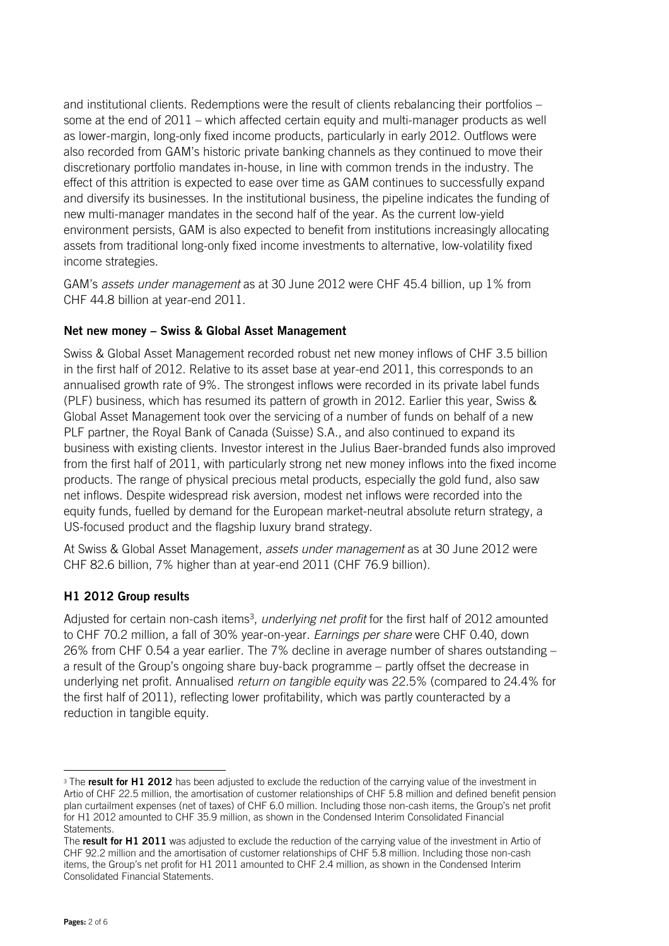and institutional clients. Redemptions were the result of clients rebalancing their portfolios – some at the end of 2011 – which affected certain equity and multi-manager products as well as lower-margin, long-only fixed income products, particularly in early 2012. Outflows were also recorded from GAM's historic private banking channels as they continued to move their discretionary portfolio mandates in-house, in line with common trends in the industry. The effect of this attrition is expected to ease over time as GAM continues to successfully expand and diversify its businesses. In the institutional business, the pipeline indicates the funding of new multi-manager mandates in the second half of the year. As the current low-yield environment persists, GAM is also expected to benefit from institutions increasingly allocating assets from traditional long-only fixed income investments to alternative, low-volatility fixed income strategies.

GAM's *assets under management* as at 30 June 2012 were CHF 45.4 billion, up 1% from CHF 44.8 billion at year-end 2011.

# **Net new money – Swiss & Global Asset Management**

Swiss & Global Asset Management recorded robust net new money inflows of CHF 3.5 billion in the first half of 2012. Relative to its asset base at year-end 2011, this corresponds to an annualised growth rate of 9%. The strongest inflows were recorded in its private label funds (PLF) business, which has resumed its pattern of growth in 2012. Earlier this year, Swiss & Global Asset Management took over the servicing of a number of funds on behalf of a new PLF partner, the Royal Bank of Canada (Suisse) S.A., and also continued to expand its business with existing clients. Investor interest in the Julius Baer-branded funds also improved from the first half of 2011, with particularly strong net new money inflows into the fixed income products. The range of physical precious metal products, especially the gold fund, also saw net inflows. Despite widespread risk aversion, modest net inflows were recorded into the equity funds, fuelled by demand for the European market-neutral absolute return strategy, a US-focused product and the flagship luxury brand strategy.

At Swiss & Global Asset Management, *assets under management* as at 30 June 2012 were CHF 82.6 billion, 7% higher than at year-end 2011 (CHF 76.9 billion).

# **H1 2012 Group results**

Adjusted for certain non-cash items3, *underlying net profit* for the first half of 2012 amounted to CHF 70.2 million, a fall of 30% year-on-year. *Earnings per share* were CHF 0.40, down 26% from CHF 0.54 a year earlier. The 7% decline in average number of shares outstanding – a result of the Group's ongoing share buy-back programme – partly offset the decrease in underlying net profit. Annualised *return on tangible equity* was 22.5% (compared to 24.4% for the first half of 2011), reflecting lower profitability, which was partly counteracted by a reduction in tangible equity.

j

<sup>3</sup> The **result for H1 2012** has been adjusted to exclude the reduction of the carrying value of the investment in Artio of CHF 22.5 million, the amortisation of customer relationships of CHF 5.8 million and defined benefit pension plan curtailment expenses (net of taxes) of CHF 6.0 million. Including those non-cash items, the Group's net profit for H1 2012 amounted to CHF 35.9 million, as shown in the Condensed Interim Consolidated Financial Statements.

The **result for H1 2011** was adjusted to exclude the reduction of the carrying value of the investment in Artio of CHF 92.2 million and the amortisation of customer relationships of CHF 5.8 million. Including those non-cash items, the Group's net profit for H1 2011 amounted to CHF 2.4 million, as shown in the Condensed Interim Consolidated Financial Statements.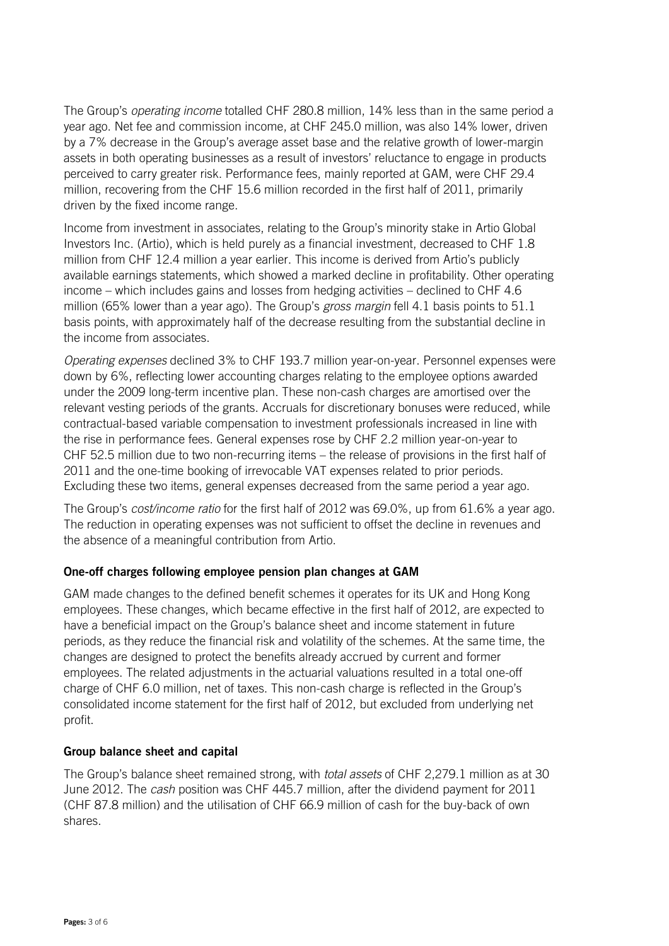The Group's *operating income* totalled CHF 280.8 million, 14% less than in the same period a year ago. Net fee and commission income, at CHF 245.0 million, was also 14% lower, driven by a 7% decrease in the Group's average asset base and the relative growth of lower-margin assets in both operating businesses as a result of investors' reluctance to engage in products perceived to carry greater risk. Performance fees, mainly reported at GAM, were CHF 29.4 million, recovering from the CHF 15.6 million recorded in the first half of 2011, primarily driven by the fixed income range.

Income from investment in associates, relating to the Group's minority stake in Artio Global Investors Inc. (Artio), which is held purely as a financial investment, decreased to CHF 1.8 million from CHF 12.4 million a year earlier. This income is derived from Artio's publicly available earnings statements, which showed a marked decline in profitability. Other operating income – which includes gains and losses from hedging activities – declined to CHF 4.6 million (65% lower than a year ago). The Group's *gross margin* fell 4.1 basis points to 51.1 basis points, with approximately half of the decrease resulting from the substantial decline in the income from associates.

*Operating expenses* declined 3% to CHF 193.7 million year-on-year. Personnel expenses were down by 6%, reflecting lower accounting charges relating to the employee options awarded under the 2009 long-term incentive plan. These non-cash charges are amortised over the relevant vesting periods of the grants. Accruals for discretionary bonuses were reduced, while contractual-based variable compensation to investment professionals increased in line with the rise in performance fees. General expenses rose by CHF 2.2 million year-on-year to CHF 52.5 million due to two non-recurring items – the release of provisions in the first half of 2011 and the one-time booking of irrevocable VAT expenses related to prior periods. Excluding these two items, general expenses decreased from the same period a year ago.

The Group's *cost/income ratio* for the first half of 2012 was 69.0%, up from 61.6% a year ago. The reduction in operating expenses was not sufficient to offset the decline in revenues and the absence of a meaningful contribution from Artio.

# **One-off charges following employee pension plan changes at GAM**

GAM made changes to the defined benefit schemes it operates for its UK and Hong Kong employees. These changes, which became effective in the first half of 2012, are expected to have a beneficial impact on the Group's balance sheet and income statement in future periods, as they reduce the financial risk and volatility of the schemes. At the same time, the changes are designed to protect the benefits already accrued by current and former employees. The related adjustments in the actuarial valuations resulted in a total one-off charge of CHF 6.0 million, net of taxes. This non-cash charge is reflected in the Group's consolidated income statement for the first half of 2012, but excluded from underlying net profit.

# **Group balance sheet and capital**

The Group's balance sheet remained strong, with *total assets* of CHF 2,279.1 million as at 30 June 2012. The *cash* position was CHF 445.7 million, after the dividend payment for 2011 (CHF 87.8 million) and the utilisation of CHF 66.9 million of cash for the buy-back of own shares.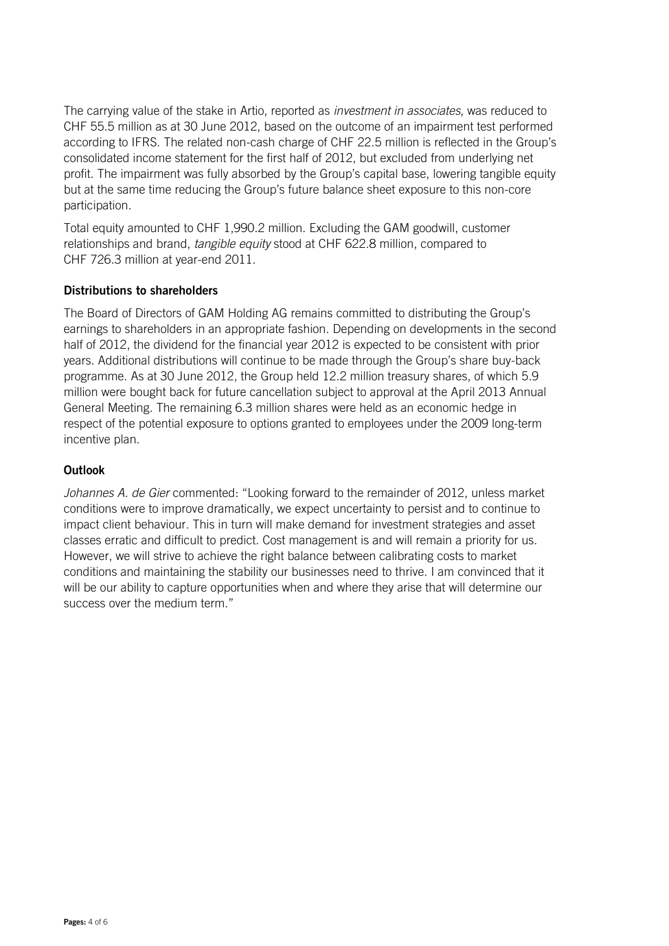The carrying value of the stake in Artio, reported as *investment in associates*, was reduced to CHF 55.5 million as at 30 June 2012, based on the outcome of an impairment test performed according to IFRS. The related non-cash charge of CHF 22.5 million is reflected in the Group's consolidated income statement for the first half of 2012, but excluded from underlying net profit. The impairment was fully absorbed by the Group's capital base, lowering tangible equity but at the same time reducing the Group's future balance sheet exposure to this non-core participation.

Total equity amounted to CHF 1,990.2 million. Excluding the GAM goodwill, customer relationships and brand, *tangible equity* stood at CHF 622.8 million, compared to CHF 726.3 million at year-end 2011.

#### **Distributions to shareholders**

The Board of Directors of GAM Holding AG remains committed to distributing the Group's earnings to shareholders in an appropriate fashion. Depending on developments in the second half of 2012, the dividend for the financial year 2012 is expected to be consistent with prior years. Additional distributions will continue to be made through the Group's share buy-back programme. As at 30 June 2012, the Group held 12.2 million treasury shares, of which 5.9 million were bought back for future cancellation subject to approval at the April 2013 Annual General Meeting. The remaining 6.3 million shares were held as an economic hedge in respect of the potential exposure to options granted to employees under the 2009 long-term incentive plan.

### **Outlook**

*Johannes A. de Gier* commented: "Looking forward to the remainder of 2012, unless market conditions were to improve dramatically, we expect uncertainty to persist and to continue to impact client behaviour. This in turn will make demand for investment strategies and asset classes erratic and difficult to predict. Cost management is and will remain a priority for us. However, we will strive to achieve the right balance between calibrating costs to market conditions and maintaining the stability our businesses need to thrive. I am convinced that it will be our ability to capture opportunities when and where they arise that will determine our success over the medium term."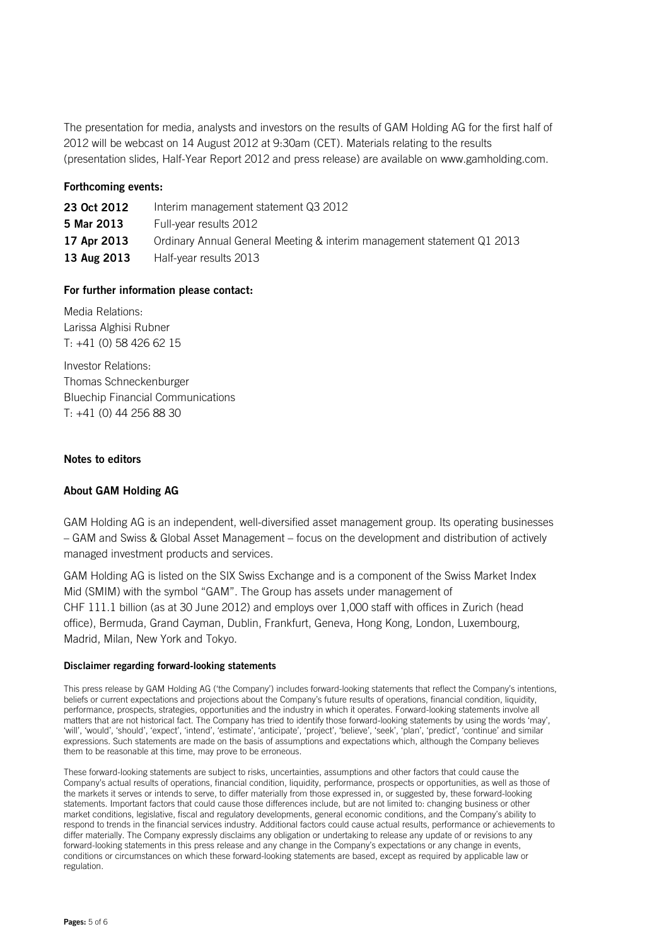The presentation for media, analysts and investors on the results of GAM Holding AG for the first half of 2012 will be webcast on 14 August 2012 at 9:30am (CET). Materials relating to the results (presentation slides, Half-Year Report 2012 and press release) are available on www.gamholding.com.

#### **Forthcoming events:**

| 23 Oct 2012 | Interim management statement Q3 2012                                   |
|-------------|------------------------------------------------------------------------|
| 5 Mar 2013  | Full-year results 2012                                                 |
| 17 Apr 2013 | Ordinary Annual General Meeting & interim management statement Q1 2013 |
| 13 Aug 2013 | Half-year results 2013                                                 |

#### **For further information please contact:**

Media Relations: Larissa Alghisi Rubner  $T: +41(0)$  58 426 62 15

Investor Relations: Thomas Schneckenburger Bluechip Financial Communications T: +41 (0) 44 256 88 30

#### **Notes to editors**

#### **About GAM Holding AG**

GAM Holding AG is an independent, well-diversified asset management group. Its operating businesses – GAM and Swiss & Global Asset Management – focus on the development and distribution of actively managed investment products and services.

GAM Holding AG is listed on the SIX Swiss Exchange and is a component of the Swiss Market Index Mid (SMIM) with the symbol "GAM". The Group has assets under management of CHF 111.1 billion (as at 30 June 2012) and employs over 1,000 staff with offices in Zurich (head office), Bermuda, Grand Cayman, Dublin, Frankfurt, Geneva, Hong Kong, London, Luxembourg, Madrid, Milan, New York and Tokyo.

#### **Disclaimer regarding forward-looking statements**

This press release by GAM Holding AG ('the Company') includes forward-looking statements that reflect the Company's intentions, beliefs or current expectations and projections about the Company's future results of operations, financial condition, liquidity, performance, prospects, strategies, opportunities and the industry in which it operates. Forward-looking statements involve all matters that are not historical fact. The Company has tried to identify those forward-looking statements by using the words 'may', 'will', 'would', 'should', 'expect', 'intend', 'estimate', 'anticipate', 'project', 'believe', 'seek', 'plan', 'predict', 'continue' and similar expressions. Such statements are made on the basis of assumptions and expectations which, although the Company believes them to be reasonable at this time, may prove to be erroneous.

These forward-looking statements are subject to risks, uncertainties, assumptions and other factors that could cause the Company's actual results of operations, financial condition, liquidity, performance, prospects or opportunities, as well as those of the markets it serves or intends to serve, to differ materially from those expressed in, or suggested by, these forward-looking statements. Important factors that could cause those differences include, but are not limited to: changing business or other market conditions, legislative, fiscal and regulatory developments, general economic conditions, and the Company's ability to respond to trends in the financial services industry. Additional factors could cause actual results, performance or achievements to differ materially. The Company expressly disclaims any obligation or undertaking to release any update of or revisions to any forward-looking statements in this press release and any change in the Company's expectations or any change in events, conditions or circumstances on which these forward-looking statements are based, except as required by applicable law or regulation.